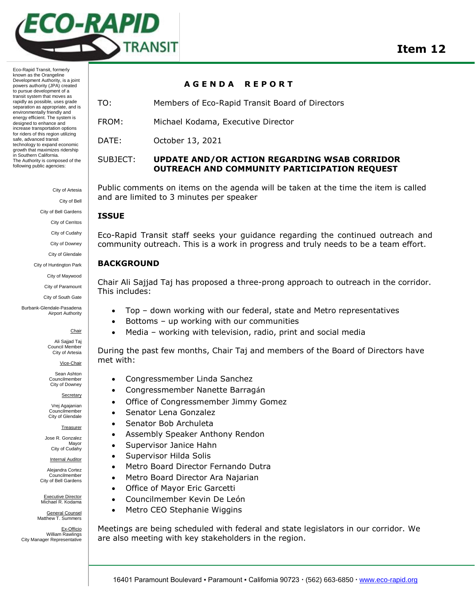

Eco-Rapid Transit, formerly known as the Orangeline Development Authority, is a joint powers authority (JPA) created to pursue development of a transit system that moves as rapidly as possible, uses grade separation as appropriate, and is environmentally friendly and energy efficient. The system is designed to enhance and increase transportation options for riders of this region utilizing safe, advanced transit technology to expand economic growth that maximizes ridership in Southern California. The Authority is composed of the following public agencies:

> City of Artesia City of Bell City of Bell Gardens

City of Cerritos

City of Cudahy

City of Downey

City of Glendale

City of Huntington Park

City of Maywood

City of Paramount

City of South Gate

Burbank-Glendale-Pasadena Airport Authority

**Chair** 

Ali Sajjad Taj Council Member City of Artesia

Vice-Chair

Sean Ashton Councilmember City of Downey

Secretary

Vrej Agajanian Councilmember City of Glendale

**Treasurer** 

Jose R. Gonzalez Mayor City of Cudahy

**Internal Auditor** 

Alejandra Cortez Councilmember City of Bell Gardens

Executive Director Michael R. Kodama

General Counsel Matthew T. Summers

Ex-Officio William Rawlings City Manager Representative

## **A G E N D A R E P O R T**

TO: Members of Eco-Rapid Transit Board of Directors

FROM: Michael Kodama, Executive Director

DATE: October 13, 2021

SUBJECT: **UPDATE AND/OR ACTION REGARDING WSAB CORRIDOR OUTREACH AND COMMUNITY PARTICIPATION REQUEST**

Public comments on items on the agenda will be taken at the time the item is called and are limited to 3 minutes per speaker

## **ISSUE**

Eco-Rapid Transit staff seeks your guidance regarding the continued outreach and community outreach. This is a work in progress and truly needs to be a team effort.

## **BACKGROUND**

Chair Ali Sajjad Taj has proposed a three-prong approach to outreach in the corridor. This includes:

- Top down working with our federal, state and Metro representatives
- Bottoms up working with our communities
- Media working with television, radio, print and social media

During the past few months, Chair Taj and members of the Board of Directors have met with:

- Congressmember Linda Sanchez
- Congressmember Nanette Barragán
- Office of Congressmember Jimmy Gomez
- Senator Lena Gonzalez
- Senator Bob Archuleta
- Assembly Speaker Anthony Rendon
- Supervisor Janice Hahn
- Supervisor Hilda Solis
- Metro Board Director Fernando Dutra
- Metro Board Director Ara Najarian
- Office of Mayor Eric Garcetti
- Councilmember Kevin De León
- Metro CEO Stephanie Wiggins

Meetings are being scheduled with federal and state legislators in our corridor. We are also meeting with key stakeholders in the region.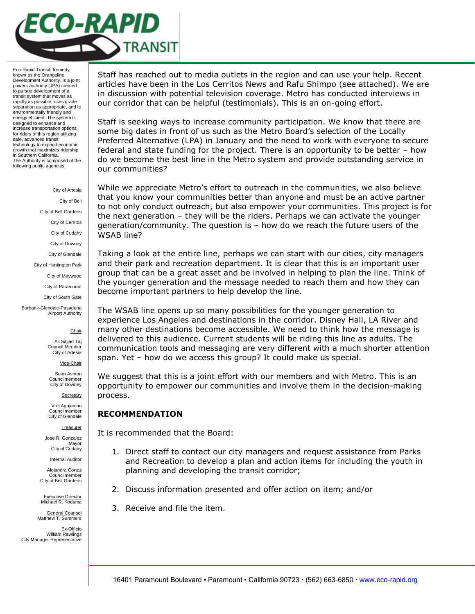

Eco-Rapid Transit, formerly known as the Orangeline Development Authority, is a joint powers authority (JPA) created to pursue development of a transit system that moves as rapidly as possible, uses grade separation as appropriate, and is environmentally friendly and energy efficient. The system is designed to enhance and increase transportation options for riders of this region utilizing safe, advanced transit technology to expand economic growth that maximizes ridership in Southern California. The Authority is composed of the following public agencies:

> City of Artesia City of Bell City of Bell Gardens City of Cerritos City of Cudahy City of Downey City of Glendale City of Huntington Park City of Maywood City of Paramount City of South Gate

Burbank-Glendale-Pasadena Airport Authority



Ali Sajjad Taj Council Member City of Artesia

Vice-Chair

Sean Ashton Councilmember City of Downey

**Secretary** 

Vrej Agajanian Councilmember City of Glendale

**Treasurer** 

Jose R. Gonzalez Mayor City of Cudahy

**Internal Auditor** 

Alejandra Cortez Councilmember City of Bell Gardens

Executive Director Michael R. Kodama

General Counsel Matthew T. Summers

Ex-Officio William Rawlings City Manager Representative

Staff has reached out to media outlets in the region and can use your help. Recent articles have been in the Los Cerritos News and Rafu Shimpo (see attached). We are in discussion with potential television coverage. Metro has conducted interviews in our corridor that can be helpful (testimonials). This is an on-going effort.

Staff is seeking ways to increase community participation. We know that there are some big dates in front of us such as the Metro Board's selection of the Locally Preferred Alternative (LPA) in January and the need to work with everyone to secure federal and state funding for the project. There is an opportunity to be better – how do we become the best line in the Metro system and provide outstanding service in our communities?

While we appreciate Metro's effort to outreach in the communities, we also believe that you know your communities better than anyone and must be an active partner to not only conduct outreach, but also empower your communities. This project is for the next generation – they will be the riders. Perhaps we can activate the younger generation/community. The question is – how do we reach the future users of the WSAB line?

Taking a look at the entire line, perhaps we can start with our cities, city managers and their park and recreation department. It is clear that this is an important user group that can be a great asset and be involved in helping to plan the line. Think of the younger generation and the message needed to reach them and how they can become important partners to help develop the line.

The WSAB line opens up so many possibilities for the younger generation to experience Los Angeles and destinations in the corridor. Disney Hall, LA River and many other destinations become accessible. We need to think how the message is delivered to this audience. Current students will be riding this line as adults. The communication tools and messaging are very different with a much shorter attention span. Yet – how do we access this group? It could make us special.

We suggest that this is a joint effort with our members and with Metro. This is an opportunity to empower our communities and involve them in the decision-making process.

## **RECOMMENDATION**

It is recommended that the Board:

- 1. Direct staff to contact our city managers and request assistance from Parks and Recreation to develop a plan and action items for including the youth in planning and developing the transit corridor;
- 2. Discuss information presented and offer action on item; and/or
- 3. Receive and file the item.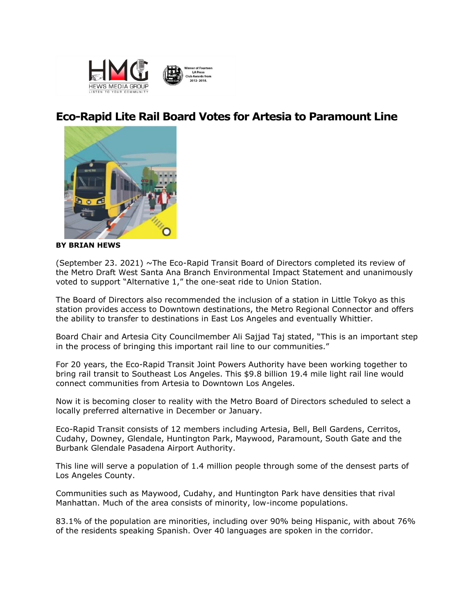

# **Eco-Rapid Lite Rail Board Votes for Artesia to Paramount Line**



**BY BRIAN HEWS**

(September 23. 2021) ~The Eco-Rapid Transit Board of Directors completed its review of the Metro Draft West Santa Ana Branch Environmental Impact Statement and unanimously voted to support "Alternative 1," the one-seat ride to Union Station.

The Board of Directors also recommended the inclusion of a station in Little Tokyo as this station provides access to Downtown destinations, the Metro Regional Connector and offers the ability to transfer to destinations in East Los Angeles and eventually Whittier.

Board Chair and Artesia City Councilmember Ali Sajjad Taj stated, "This is an important step in the process of bringing this important rail line to our communities."

For 20 years, the Eco-Rapid Transit Joint Powers Authority have been working together to bring rail transit to Southeast Los Angeles. This \$9.8 billion 19.4 mile light rail line would connect communities from Artesia to Downtown Los Angeles.

Now it is becoming closer to reality with the Metro Board of Directors scheduled to select a locally preferred alternative in December or January.

Eco-Rapid Transit consists of 12 members including Artesia, Bell, Bell Gardens, Cerritos, Cudahy, Downey, Glendale, Huntington Park, Maywood, Paramount, South Gate and the Burbank Glendale Pasadena Airport Authority.

This line will serve a population of 1.4 million people through some of the densest parts of Los Angeles County.

Communities such as Maywood, Cudahy, and Huntington Park have densities that rival Manhattan. Much of the area consists of minority, low-income populations.

83.1% of the population are minorities, including over 90% being Hispanic, with about 76% of the residents speaking Spanish. Over 40 languages are spoken in the corridor.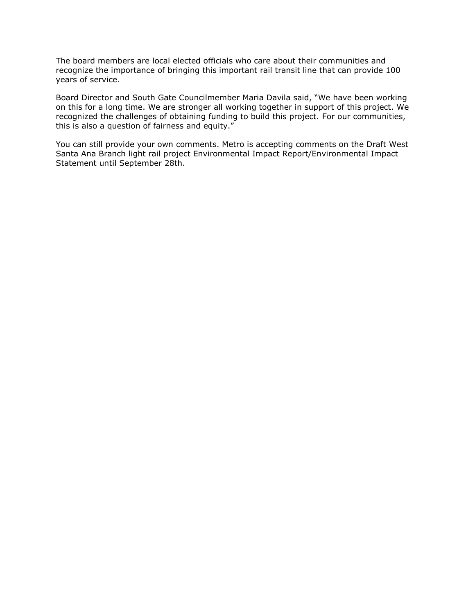The board members are local elected officials who care about their communities and recognize the importance of bringing this important rail transit line that can provide 100 years of service.

Board Director and South Gate Councilmember Maria Davila said, "We have been working on this for a long time. We are stronger all working together in support of this project. We recognized the challenges of obtaining funding to build this project. For our communities, this is also a question of fairness and equity."

You can still provide your own comments. Metro is accepting comments on the Draft West Santa Ana Branch light rail project Environmental Impact Report/Environmental Impact Statement until September 28th.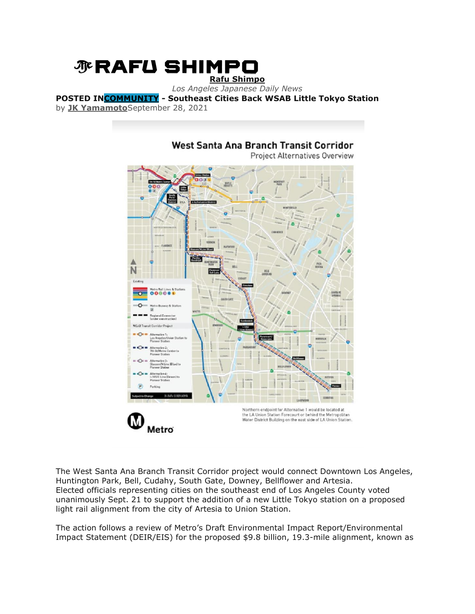# *N* RAFU SHIMPO **[Rafu Shimpo](https://rafu.com/)**

*Los Angeles Japanese Daily News*

**POSTED I[NCOMMUNITY](https://rafu.com/category/community/) - Southeast Cities Back WSAB Little Tokyo Station** by **[JK Yamamoto](https://rafu.com/author/yamamotojk/)**September 28, 2021

# **Project Alternatives Overview PAS** N Existin 00000 Northern endpoint for Alternative 1 would be located at the LA Union Station Forecourt or behind the Metropolitan<br>Water District Building on the east side of LA Union Station. M Metro

West Santa Ana Branch Transit Corridor

The West Santa Ana Branch Transit Corridor project would connect Downtown Los Angeles, Huntington Park, Bell, Cudahy, South Gate, Downey, Bellflower and Artesia. Elected officials representing cities on the southeast end of Los Angeles County voted unanimously Sept. 21 to support the addition of a new Little Tokyo station on a proposed light rail alignment from the city of Artesia to Union Station.

The action follows a review of Metro's Draft Environmental Impact Report/Environmental Impact Statement (DEIR/EIS) for the proposed \$9.8 billion, 19.3-mile alignment, known as